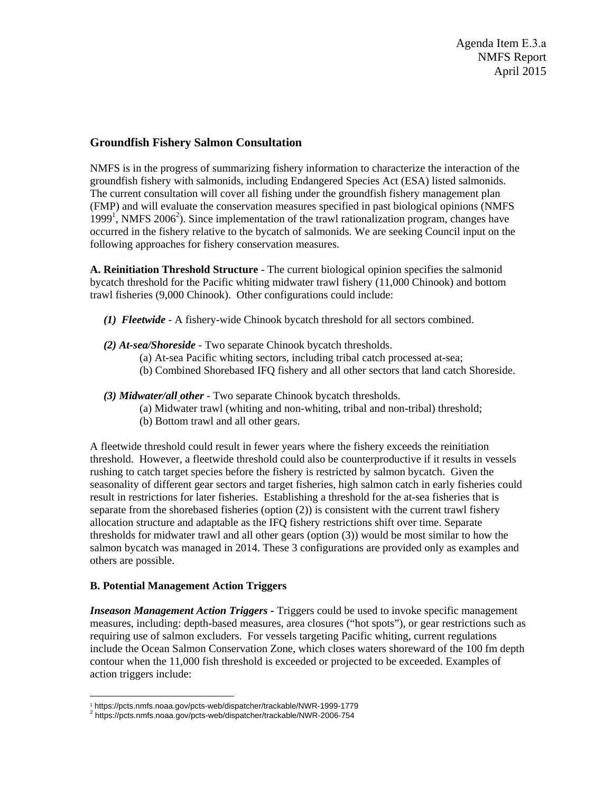## **Groundfish Fishery Salmon Consultation**

NMFS is in the progress of summarizing fishery information to characterize the interaction of the groundfish fishery with salmonids, including Endangered Species Act (ESA) listed salmonids. The current consultation will cover all fishing under the groundfish fishery management plan (FMP) and will evaluate the conservation measures specified in past biological opinions (NMFS 1999<sup>1</sup>, NMFS 2006<sup>2</sup>). Since implementation of the trawl rationalization program, changes have occurred in the fishery relative to the bycatch of salmonids. We are seeking Council input on the following approaches for fishery conservation measures.

**A. Reinitiation Threshold Structure** - The current biological opinion specifies the salmonid bycatch threshold for the Pacific whiting midwater trawl fishery (11,000 Chinook) and bottom trawl fisheries (9,000 Chinook). Other configurations could include:

- *(1) Fleetwide* A fishery-wide Chinook bycatch threshold for all sectors combined.
- *(2) At-sea/Shoreside* Two separate Chinook bycatch thresholds.
	- (a) At-sea Pacific whiting sectors, including tribal catch processed at-sea;
	- (b) Combined Shorebased IFQ fishery and all other sectors that land catch Shoreside.

*(3) Midwater/all other* - Two separate Chinook bycatch thresholds.

- (a) Midwater trawl (whiting and non-whiting, tribal and non-tribal) threshold;
- (b) Bottom trawl and all other gears.

A fleetwide threshold could result in fewer years where the fishery exceeds the reinitiation threshold. However, a fleetwide threshold could also be counterproductive if it results in vessels rushing to catch target species before the fishery is restricted by salmon bycatch. Given the seasonality of different gear sectors and target fisheries, high salmon catch in early fisheries could result in restrictions for later fisheries. Establishing a threshold for the at-sea fisheries that is separate from the shorebased fisheries (option (2)) is consistent with the current trawl fishery allocation structure and adaptable as the IFQ fishery restrictions shift over time. Separate thresholds for midwater trawl and all other gears (option (3)) would be most similar to how the salmon bycatch was managed in 2014. These 3 configurations are provided only as examples and others are possible.

## **B. Potential Management Action Triggers**

*Inseason Management Action Triggers -* Triggers could be used to invoke specific management measures, including: depth-based measures, area closures ("hot spots"), or gear restrictions such as requiring use of salmon excluders. For vessels targeting Pacific whiting, current regulations include the Ocean Salmon Conservation Zone, which closes waters shoreward of the 100 fm depth contour when the 11,000 fish threshold is exceeded or projected to be exceeded. Examples of action triggers include:

<sup>1</sup> https://pcts.nmfs.noaa.gov/pcts-web/dispatcher/trackable/NWR-1999-1779 2

<sup>&</sup>lt;sup>2</sup> https://pcts.nmfs.noaa.gov/pcts-web/dispatcher/trackable/NWR-2006-754